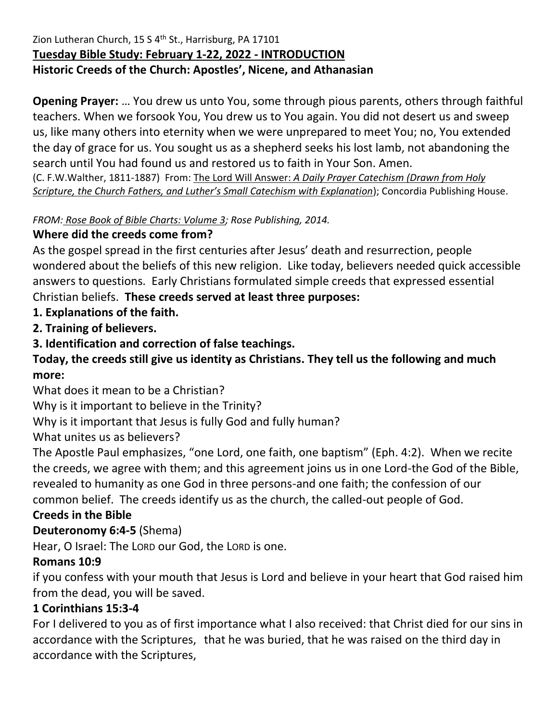### Zion Lutheran Church, 15 S 4<sup>th</sup> St., Harrisburg, PA 17101 **Tuesday Bible Study: February 1-22, 2022 - INTRODUCTION Historic Creeds of the Church: Apostles', Nicene, and Athanasian**

**Opening Prayer:** … You drew us unto You, some through pious parents, others through faithful teachers. When we forsook You, You drew us to You again. You did not desert us and sweep us, like many others into eternity when we were unprepared to meet You; no, You extended the day of grace for us. You sought us as a shepherd seeks his lost lamb, not abandoning the search until You had found us and restored us to faith in Your Son. Amen.

(C. F.W.Walther, 1811-1887) From: The Lord Will Answer: *A Daily Prayer Catechism (Drawn from Holy Scripture, the Church Fathers, and Luther's Small Catechism with Explanation*); Concordia Publishing House.

*FROM: Rose Book of Bible Charts: Volume 3; Rose Publishing, 2014.*

## **Where did the creeds come from?**

As the gospel spread in the first centuries after Jesus' death and resurrection, people wondered about the beliefs of this new religion. Like today, believers needed quick accessible answers to questions. Early Christians formulated simple creeds that expressed essential Christian beliefs. **These creeds served at least three purposes:**

# **1. Explanations of the faith.**

**2. Training of believers.**

**3. Identification and correction of false teachings.**

**Today, the creeds still give us identity as Christians. They tell us the following and much more:**

What does it mean to be a Christian?

Why is it important to believe in the Trinity?

Why is it important that Jesus is fully God and fully human?

What unites us as believers?

The Apostle Paul emphasizes, "one Lord, one faith, one baptism" (Eph. 4:2). When we recite the creeds, we agree with them; and this agreement joins us in one Lord-the God of the Bible, revealed to humanity as one God in three persons-and one faith; the confession of our common belief. The creeds identify us as the church, the called-out people of God.

## **Creeds in the Bible**

## **Deuteronomy 6:4-5** (Shema)

Hear, O Israel: The LORD our God, the LORD is one.

## **Romans 10:9**

if you confess with your mouth that Jesus is Lord and believe in your heart that God raised him from the dead, you will be saved.

## **1 Corinthians 15:3-4**

For I delivered to you as of first importance what I also received: that Christ died for our sins in accordance with the Scriptures, that he was buried, that he was raised on the third day in accordance with the Scriptures,